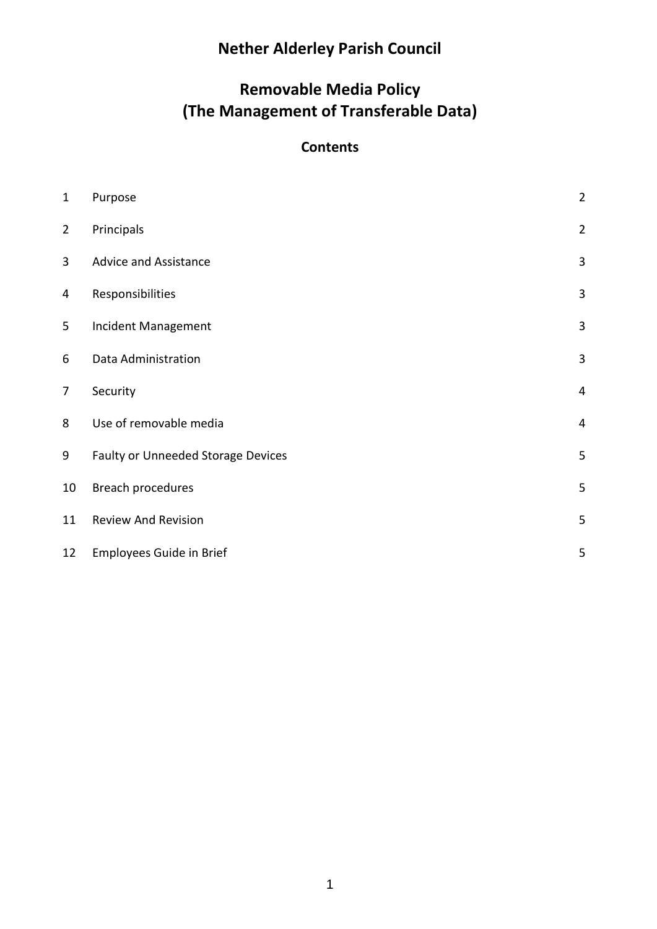# **Nether Alderley Parish Council**

## **Removable Media Policy (The Management of Transferable Data)**

### **Contents**

| $\mathbf{1}$   | Purpose                            | $\overline{c}$ |
|----------------|------------------------------------|----------------|
| $\overline{2}$ | Principals                         | $\overline{2}$ |
| 3              | <b>Advice and Assistance</b>       | 3              |
| 4              | Responsibilities                   | 3              |
| 5              | Incident Management                | 3              |
| 6              | Data Administration                | 3              |
| $\overline{7}$ | Security                           | 4              |
| 8              | Use of removable media             | 4              |
| 9              | Faulty or Unneeded Storage Devices | 5              |
| 10             | Breach procedures                  | 5              |
| 11             | <b>Review And Revision</b>         | 5              |
| 12             | <b>Employees Guide in Brief</b>    | 5              |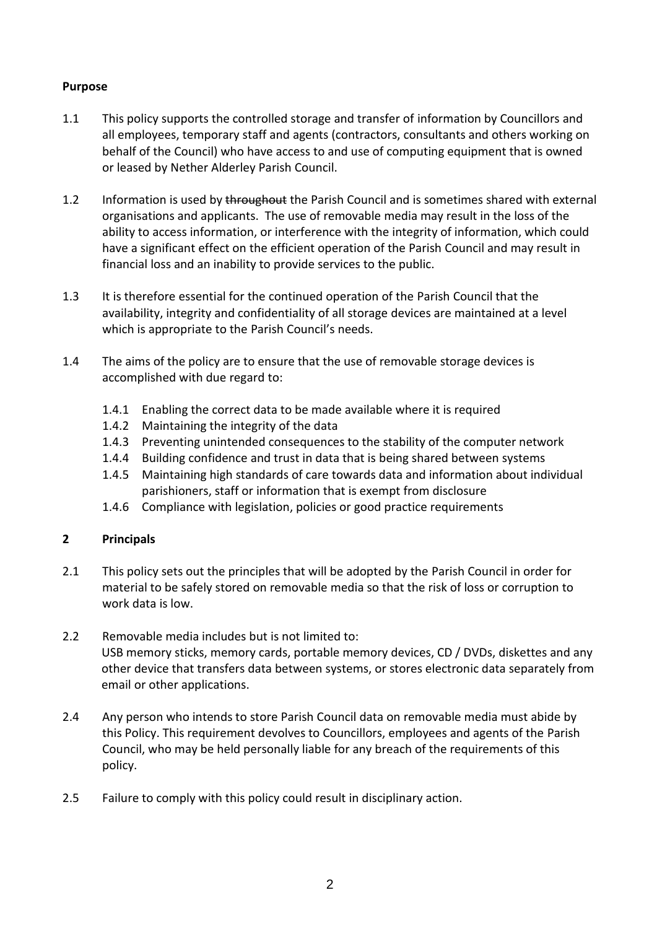#### <span id="page-1-0"></span>**Purpose**

- 1.1 This policy supports the controlled storage and transfer of information by Councillors and all employees, temporary staff and agents (contractors, consultants and others working on behalf of the Council) who have access to and use of computing equipment that is owned or leased by Nether Alderley Parish Council.
- 1.2 Information is used by throughout the Parish Council and is sometimes shared with external organisations and applicants. The use of removable media may result in the loss of the ability to access information, or interference with the integrity of information, which could have a significant effect on the efficient operation of the Parish Council and may result in financial loss and an inability to provide services to the public.
- 1.3 It is therefore essential for the continued operation of the Parish Council that the availability, integrity and confidentiality of all storage devices are maintained at a level which is appropriate to the Parish Council's needs.
- 1.4 The aims of the policy are to ensure that the use of removable storage devices is accomplished with due regard to:
	- 1.4.1 Enabling the correct data to be made available where it is required
	- 1.4.2 Maintaining the integrity of the data
	- 1.4.3 Preventing unintended consequences to the stability of the computer network
	- 1.4.4 Building confidence and trust in data that is being shared between systems
	- 1.4.5 Maintaining high standards of care towards data and information about individual parishioners, staff or information that is exempt from disclosure
	- 1.4.6 Compliance with legislation, policies or good practice requirements

#### <span id="page-1-1"></span>**2 Principals**

- 2.1 This policy sets out the principles that will be adopted by the Parish Council in order for material to be safely stored on removable media so that the risk of loss or corruption to work data is low.
- 2.2 Removable media includes but is not limited to: USB memory sticks, memory cards, portable memory devices, CD / DVDs, diskettes and any other device that transfers data between systems, or stores electronic data separately from email or other applications.
- 2.4 Any person who intends to store Parish Council data on removable media must abide by this Policy. This requirement devolves to Councillors, employees and agents of the Parish Council, who may be held personally liable for any breach of the requirements of this policy.
- 2.5 Failure to comply with this policy could result in disciplinary action.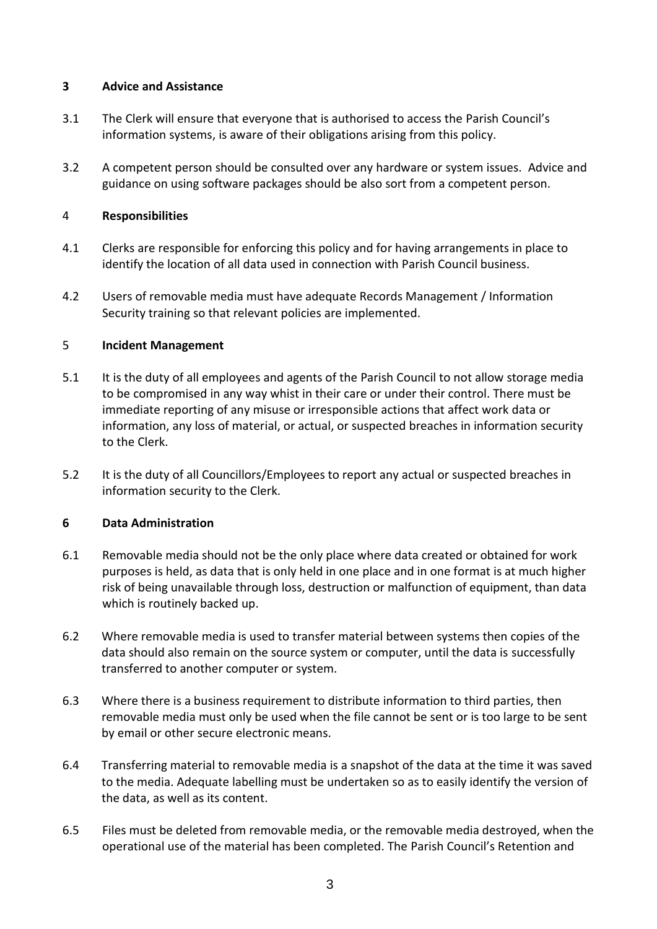#### <span id="page-2-0"></span>**3 Advice and Assistance**

- 3.1 The Clerk will ensure that everyone that is authorised to access the Parish Council's information systems, is aware of their obligations arising from this policy.
- 3.2 A competent person should be consulted over any hardware or system issues. Advice and guidance on using software packages should be also sort from a competent person.

#### <span id="page-2-1"></span>4 **Responsibilities**

- 4.1 Clerks are responsible for enforcing this policy and for having arrangements in place to identify the location of all data used in connection with Parish Council business.
- 4.2 Users of removable media must have adequate Records Management / Information Security training so that relevant policies are implemented.

#### <span id="page-2-2"></span>5 **Incident Management**

- 5.1 It is the duty of all employees and agents of the Parish Council to not allow storage media to be compromised in any way whist in their care or under their control. There must be immediate reporting of any misuse or irresponsible actions that affect work data or information, any loss of material, or actual, or suspected breaches in information security to the Clerk.
- 5.2 It is the duty of all Councillors/Employees to report any actual or suspected breaches in information security to the Clerk.

#### <span id="page-2-3"></span>**6 Data Administration**

- 6.1 Removable media should not be the only place where data created or obtained for work purposes is held, as data that is only held in one place and in one format is at much higher risk of being unavailable through loss, destruction or malfunction of equipment, than data which is routinely backed up.
- 6.2 Where removable media is used to transfer material between systems then copies of the data should also remain on the source system or computer, until the data is successfully transferred to another computer or system.
- 6.3 Where there is a business requirement to distribute information to third parties, then removable media must only be used when the file cannot be sent or is too large to be sent by email or other secure electronic means.
- 6.4 Transferring material to removable media is a snapshot of the data at the time it was saved to the media. Adequate labelling must be undertaken so as to easily identify the version of the data, as well as its content.
- 6.5 Files must be deleted from removable media, or the removable media destroyed, when the operational use of the material has been completed. The Parish Council's Retention and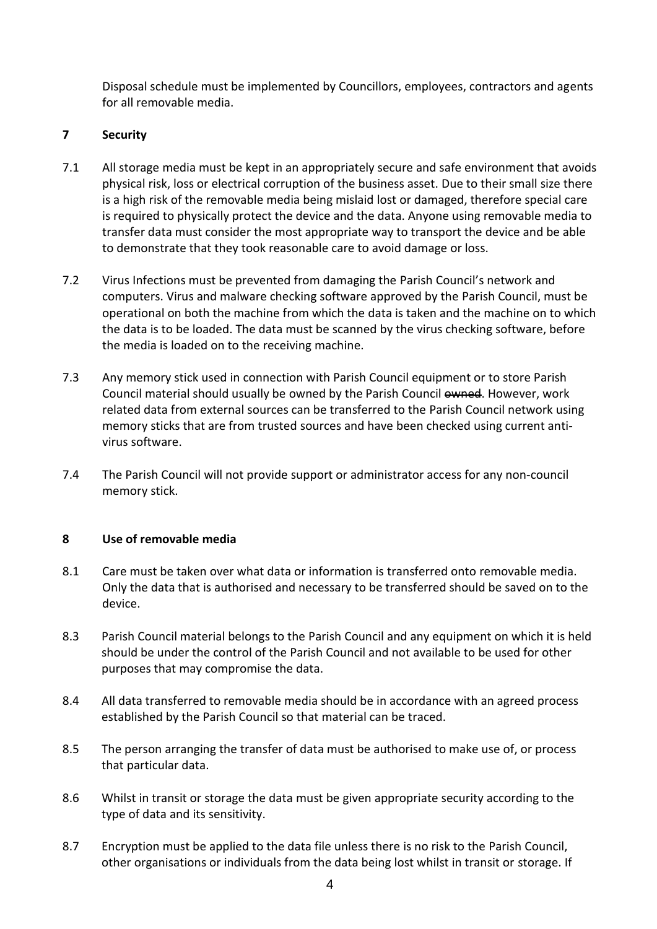Disposal schedule must be implemented by Councillors, employees, contractors and agents for all removable media.

#### <span id="page-3-0"></span>**7 Security**

- 7.1 All storage media must be kept in an appropriately secure and safe environment that avoids physical risk, loss or electrical corruption of the business asset. Due to their small size there is a high risk of the removable media being mislaid lost or damaged, therefore special care is required to physically protect the device and the data. Anyone using removable media to transfer data must consider the most appropriate way to transport the device and be able to demonstrate that they took reasonable care to avoid damage or loss.
- 7.2 Virus Infections must be prevented from damaging the Parish Council's network and computers. Virus and malware checking software approved by the Parish Council, must be operational on both the machine from which the data is taken and the machine on to which the data is to be loaded. The data must be scanned by the virus checking software, before the media is loaded on to the receiving machine.
- 7.3 Any memory stick used in connection with Parish Council equipment or to store Parish Council material should usually be owned by the Parish Council owned. However, work related data from external sources can be transferred to the Parish Council network using memory sticks that are from trusted sources and have been checked using current antivirus software.
- 7.4 The Parish Council will not provide support or administrator access for any non-council memory stick.

#### <span id="page-3-1"></span>**8 Use of removable media**

- 8.1 Care must be taken over what data or information is transferred onto removable media. Only the data that is authorised and necessary to be transferred should be saved on to the device.
- 8.3 Parish Council material belongs to the Parish Council and any equipment on which it is held should be under the control of the Parish Council and not available to be used for other purposes that may compromise the data.
- 8.4 All data transferred to removable media should be in accordance with an agreed process established by the Parish Council so that material can be traced.
- 8.5 The person arranging the transfer of data must be authorised to make use of, or process that particular data.
- 8.6 Whilst in transit or storage the data must be given appropriate security according to the type of data and its sensitivity.
- 8.7 Encryption must be applied to the data file unless there is no risk to the Parish Council, other organisations or individuals from the data being lost whilst in transit or storage. If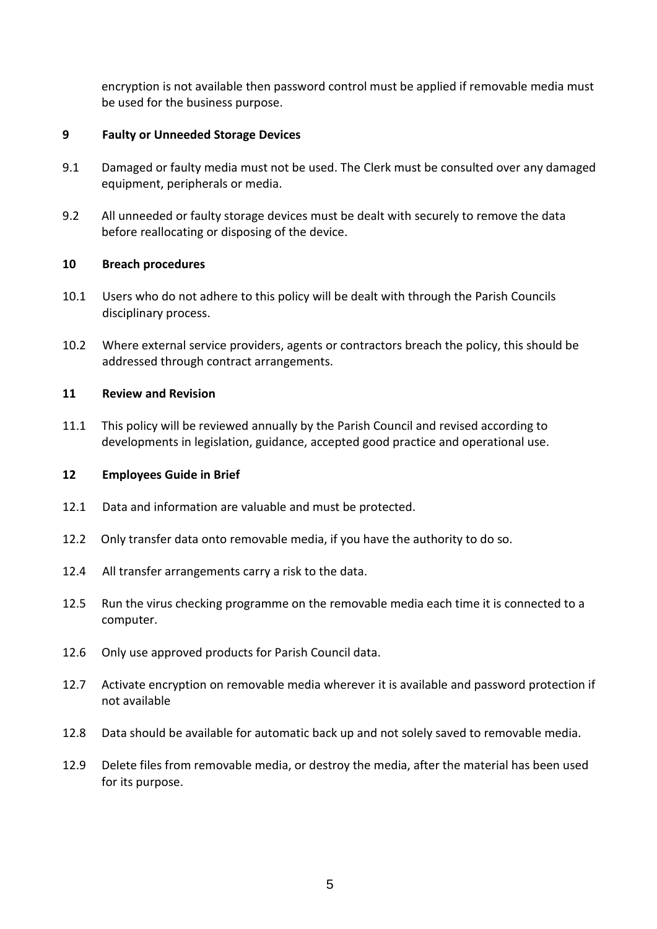encryption is not available then password control must be applied if removable media must be used for the business purpose.

#### <span id="page-4-0"></span>**9 Faulty or Unneeded Storage Devices**

- 9.1 Damaged or faulty media must not be used. The Clerk must be consulted over any damaged equipment, peripherals or media.
- 9.2 All unneeded or faulty storage devices must be dealt with securely to remove the data before reallocating or disposing of the device.

#### <span id="page-4-1"></span>**10 Breach procedures**

- 10.1 Users who do not adhere to this policy will be dealt with through the Parish Councils disciplinary process.
- 10.2 Where external service providers, agents or contractors breach the policy, this should be addressed through contract arrangements.

#### <span id="page-4-2"></span>**11 Review and Revision**

11.1 This policy will be reviewed annually by the Parish Council and revised according to developments in legislation, guidance, accepted good practice and operational use.

#### <span id="page-4-3"></span>**12 Employees Guide in Brief**

- 12.1 Data and information are valuable and must be protected.
- 12.2 Only transfer data onto removable media, if you have the authority to do so.
- 12.4 All transfer arrangements carry a risk to the data.
- 12.5 Run the virus checking programme on the removable media each time it is connected to a computer.
- 12.6 Only use approved products for Parish Council data.
- 12.7 Activate encryption on removable media wherever it is available and password protection if not available
- 12.8 Data should be available for automatic back up and not solely saved to removable media.
- 12.9 Delete files from removable media, or destroy the media, after the material has been used for its purpose.